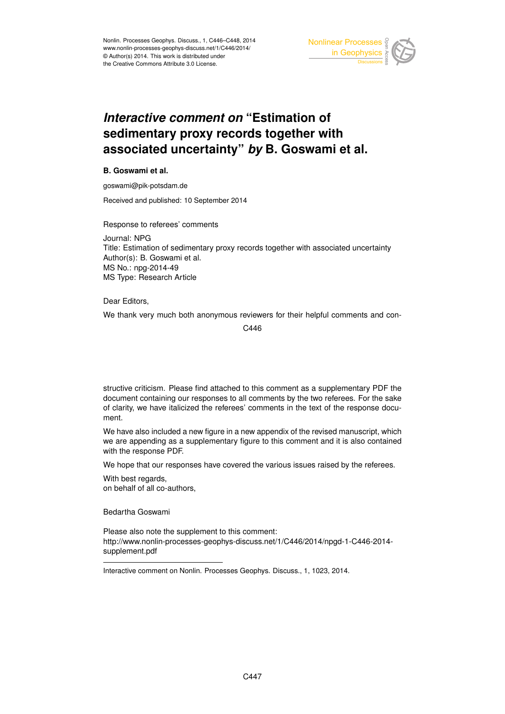

## *Interactive comment on* **"Estimation of sedimentary proxy records together with associated uncertainty"** *by* **B. Goswami et al.**

## **B. Goswami et al.**

goswami@pik-potsdam.de

Received and published: 10 September 2014

Response to referees' comments

Journal: NPG Title: Estimation of sedimentary proxy records together with associated uncertainty Author(s): B. Goswami et al. MS No.: npg-2014-49 MS Type: Research Article

## Dear Editors,

We thank very much both anonymous reviewers for their helpful comments and con-

C446

structive criticism. Please find attached to this comment as a supplementary PDF the document containing our responses to all comments by the two referees. For the sake of clarity, we have italicized the referees' comments in the text of the response document.

We have also included a new figure in a new appendix of the revised manuscript, which we are appending as a supplementary figure to this comment and it is also contained with the response PDF.

We hope that our responses have covered the various issues raised by the referees.

With best regards, on behalf of all co-authors,

Bedartha Goswami

Please also note the supplement to this comment: http://www.nonlin-processes-geophys-discuss.net/1/C446/2014/npgd-1-C446-2014 supplement.pdf

Interactive comment on Nonlin. Processes Geophys. Discuss., 1, 1023, 2014.